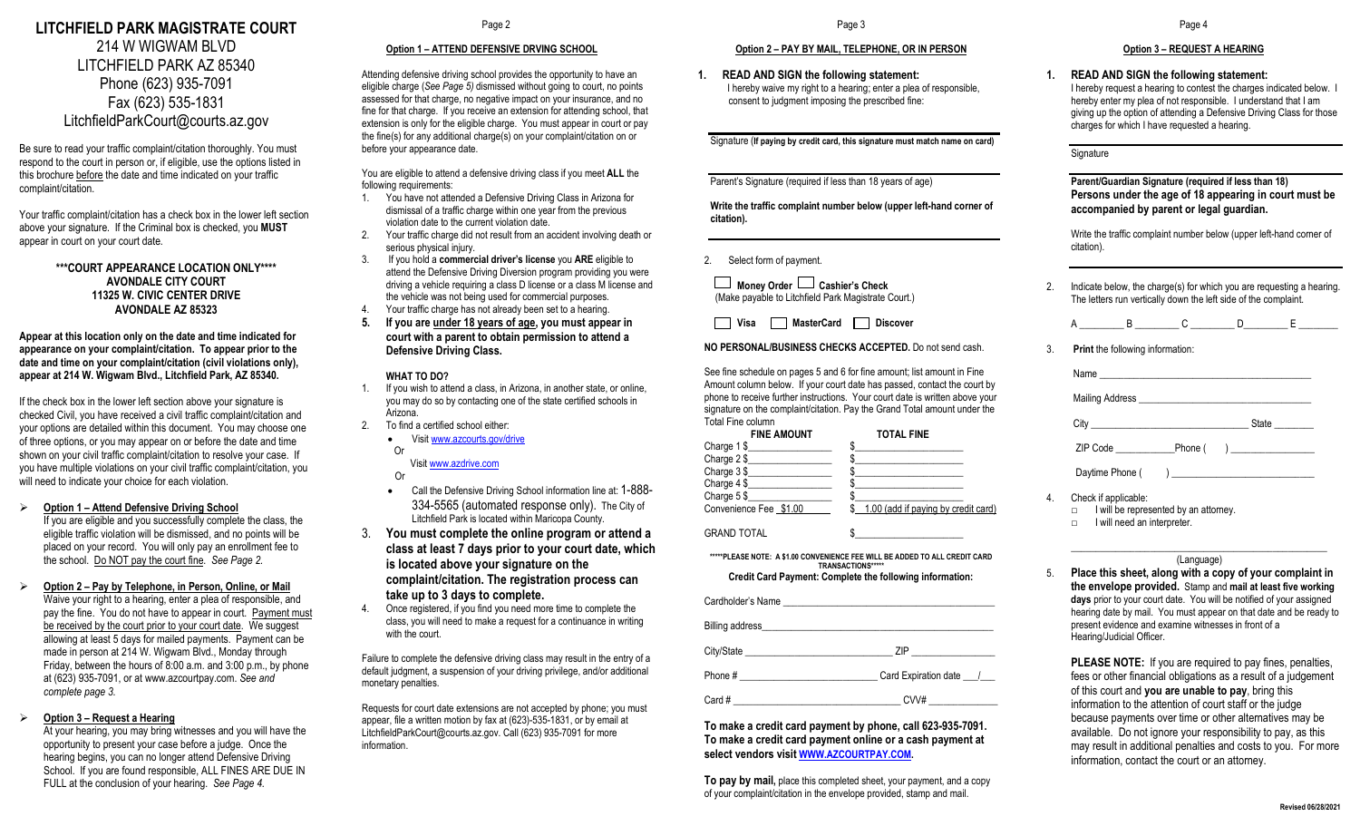# **LITCHFIELD PARK MAGISTRATE COURT** 214 W WIGWAM BLVD LITCHFIELD PARK AZ 85340 Phone (623) 935-7091 Fax (623) 535-1831 LitchfieldParkCourt@courts.az.gov

Be sure to read your traffic complaint/citation thoroughly. You must respond to the court in person or, if eligible, use the options listed in this brochure before the date and time indicated on your traffic complaint/citation.

Your traffic complaint/citation has a check box in the lower left section above your signature. If the Criminal box is checked, you **MUST** appear in court on your court date.

> **\*\*\*COURT APPEARANCE LOCATION ONLY\*\*\*\* AVONDALE CITY COURT 11325 W. CIVIC CENTER DRIVE AVONDALE AZ 85323**

**Appear at this location only on the date and time indicated for appearance on your complaint/citation. To appear prior to the date and time on your complaint/citation (civil violations only), appear at 214 W. Wigwam Blvd., Litchfield Park, AZ 85340.** 

If the check box in the lower left section above your signature is checked Civil, you have received a civil traffic complaint/citation and your options are detailed within this document. You may choose one of three options, or you may appear on or before the date and time shown on your civil traffic complaint/citation to resolve your case. If you have multiple violations on your civil traffic complaint/citation, you will need to indicate your choice for each violation.

**Option 1 – Attend Defensive Driving School**

If you are eligible and you successfully complete the class, the eligible traffic violation will be dismissed, and no points will be placed on your record. You will only pay an enrollment fee to the school. Do NOT pay the court fine. *See Page 2.*

 **Option 2 – Pay by Telephone, in Person, Online, or Mail** Waive your right to a hearing, enter a plea of responsible, and pay the fine. You do not have to appear in court. Payment must be received by the court prior to your court date. We suggest allowing at least 5 days for mailed payments. Payment can be made in person at 214 W. Wigwam Blvd., Monday through Friday, between the hours of 8:00 a.m. and 3:00 p.m., by phone at (623) 935-7091, or at www.azcourtpay.com. *See and complete page 3.*

### **Option 3 – Request a Hearing**

At your hearing, you may bring witnesses and you will have the opportunity to present your case before a judge. Once the hearing begins, you can no longer attend Defensive Driving School. If you are found responsible, ALL FINES ARE DUE IN FULL at the conclusion of your hearing. *See Page 4.*

Page 2

## **Option 1 – ATTEND DEFENSIVE DRVING SCHOOL**

Attending defensive driving school provides the opportunity to have an eligible charge (*See Page 5)* dismissed without going to court, no points assessed for that charge, no negative impact on your insurance, and no fine for that charge. If you receive an extension for attending school, that extension is only for the eligible charge. You must appear in court or pay the fine(s) for any additional charge(s) on your complaint/citation on or before your appearance date.

You are eligible to attend a defensive driving class if you meet **ALL** the following requirements:

- 1. You have not attended a Defensive Driving Class in Arizona for dismissal of a traffic charge within one year from the previous violation date to the current violation date.
- 2. Your traffic charge did not result from an accident involving death or serious physical injury.
- 3. If you hold a **commercial driver's license** you **ARE** eligible to attend the Defensive Driving Diversion program providing you were driving a vehicle requiring a class D license or a class M license and the vehicle was not being used for commercial purposes. 4. Your traffic charge has not already been set to a hearing.
- **5. If you are under 18 years of age, you must appear in court with a parent to obtain permission to attend a Defensive Driving Class.**

#### **WHAT TO DO?**

- 1. If you wish to attend a class, in Arizona, in another state, or online, you may do so by contacting one of the state certified schools in Arizona.
- 2. To find a certified school either:
	- Visit www.azcourts.gov/drive Or

Visi[t www.azdrive.com](http://www.azdrive.com/)

- Or • Call the Defensive Driving School information line at: 1-888-
- 334-5565 (automated response only). The City of Litchfield Park is located within Maricopa County.
- 3. **You must complete the online program or attend a class at least 7 days prior to your court date, which is located above your signature on the complaint/citation. The registration process can take up to 3 days to complete.**
- 4. Once registered, if you find you need more time to complete the class, you will need to make a request for a continuance in writing with the court.

Failure to complete the defensive driving class may result in the entry of a default judgment, a suspension of your driving privilege, and/or additional monetary penalties.

Requests for court date extensions are not accepted by phone; you must appear, file a written motion by fax at (623)-535-1831, or by email at LitchfieldParkCourt@courts.az.gov. Call (623) 935-7091 for more information.

Page 3

#### **Option 2 – PAY BY MAIL, TELEPHONE, OR IN PERSON**

**1. READ AND SIGN the following statement:** I hereby waive my right to a hearing; enter a plea of responsible. consent to judgment imposing the prescribed fine:

Signature (**If paying by credit card, this signature must match name on card)**

Parent's Signature (required if less than 18 years of age)

**Write the traffic complaint number below (upper left-hand corner of citation).**

2. Select form of payment.

 **Money Order Cashier's Check** (Make payable to Litchfield Park Magistrate Court.)

**Visa MasterCard Discover** 

## **NO PERSONAL/BUSINESS CHECKS ACCEPTED.** Do not send cash.

See fine schedule on pages 5 and 6 for fine amount; list amount in Fine Amount column below. If your court date has passed, contact the court by phone to receive further instructions. Your court date is written above your signature on the complaint/citation. Pay the Grand Total amount under the Total Fine column

| <b>FINE AMOUNT</b>     | <b>TOTAL FINE</b>                   |
|------------------------|-------------------------------------|
| Charge $1$ \$          |                                     |
| Charge $2 $$           |                                     |
| Charge 3\$             |                                     |
| Charge 4\$             |                                     |
| Charge 5\$             |                                     |
| Convenience Fee \$1.00 | 1.00 (add if paying by credit card) |

**GRAND TOTAL** 

**\*\*\*\*\*PLEASE NOTE: A \$1.00 CONVENIENCE FEE WILL BE ADDED TO ALL CREDIT CARD TRANSACTIONS\*\*\*\*\* Credit Card Payment: Complete the following information:**

| Cardholder's Name |  |  |
|-------------------|--|--|
|                   |  |  |

| Billing address |                      |
|-----------------|----------------------|
|                 | 7IP                  |
| Phone #         | Card Expiration date |
| Card #          | CVV#                 |

**To make a credit card payment by phone, call 623-935-7091. To make a credit card payment online or a cash payment at select vendors visit [WWW.AZCOURTPAY.COM.](http://www.azcourtpay.com/)**

**To pay by mail,** place this completed sheet, your payment, and a copy of your complaint/citation in the envelope provided, stamp and mail.

## **Option 3 – REQUEST A HEARING**

**1. READ AND SIGN the following statement:** I hereby request a hearing to contest the charges indicated below. I hereby enter my plea of not responsible. I understand that I am giving up the option of attending a Defensive Driving Class for those

charges for which I have requested a hearing.

**Signature** 

## **Parent/Guardian Signature (required if less than 18) Persons under the age of 18 appearing in court must be accompanied by parent or legal guardian.**

Write the traffic complaint number below (upper left-hand corner of citation).

2. Indicate below, the charge(s) for which you are requesting a hearing. The letters run vertically down the left side of the complaint.

3. **Print** the following information:

| City |  | State |
|------|--|-------|
|      |  |       |
|      |  |       |

- 4. Check if applicable:
	- □ I will be represented by an attorney.
	- □ I will need an interpreter.

#### \_\_\_\_\_\_\_\_\_\_\_\_\_\_\_\_\_\_\_\_\_\_\_\_\_\_\_\_\_\_\_\_\_\_\_\_\_\_\_\_\_\_\_\_\_\_\_\_\_\_\_\_ (Language)

5. **Place this sheet, along with a copy of your complaint in the envelope provided.** Stamp and **mail at least five working days** prior to your court date. You will be notified of your assigned hearing date by mail. You must appear on that date and be ready to present evidence and examine witnesses in front of a Hearing/Judicial Officer.

**PLEASE NOTE:** If you are required to pay fines, penalties, fees or other financial obligations as a result of a judgement of this court and **you are unable to pay**, bring this information to the attention of court staff or the judge because payments over time or other alternatives may be available. Do not ignore your responsibility to pay, as this may result in additional penalties and costs to you. For more information, contact the court or an attorney.